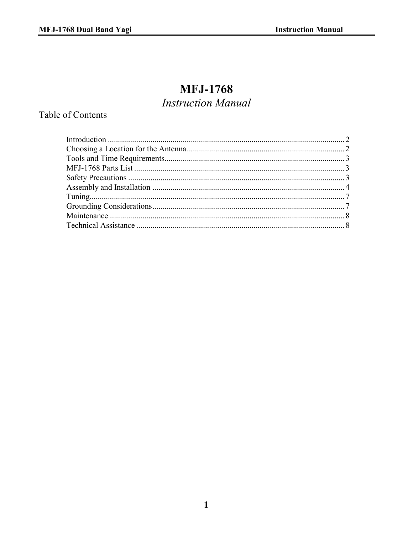# **MFJ-1768**

## **Instruction Manual**

## **Table of Contents**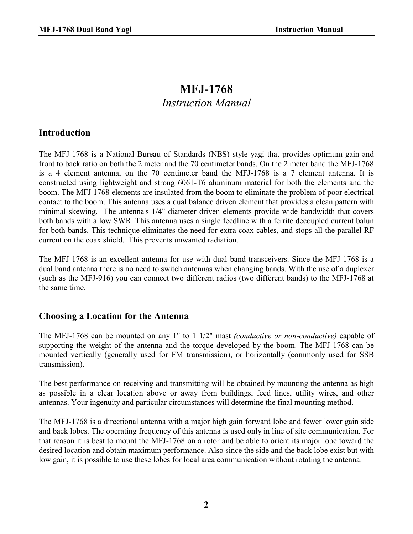## **MFJ-1768**  *Instruction Manual*

## **Introduction**

The MFJ-1768 is a National Bureau of Standards (NBS) style yagi that provides optimum gain and front to back ratio on both the 2 meter and the 70 centimeter bands. On the 2 meter band the MFJ-1768 is a 4 element antenna, on the 70 centimeter band the MFJ-1768 is a 7 element antenna. It is constructed using lightweight and strong 6061-T6 aluminum material for both the elements and the boom. The MFJ 1768 elements are insulated from the boom to eliminate the problem of poor electrical contact to the boom. This antenna uses a dual balance driven element that provides a clean pattern with minimal skewing. The antenna's 1/4" diameter driven elements provide wide bandwidth that covers both bands with a low SWR. This antenna uses a single feedline with a ferrite decoupled current balun for both bands. This technique eliminates the need for extra coax cables, and stops all the parallel RF current on the coax shield. This prevents unwanted radiation.

The MFJ-1768 is an excellent antenna for use with dual band transceivers. Since the MFJ-1768 is a dual band antenna there is no need to switch antennas when changing bands. With the use of a duplexer (such as the MFJ-916) you can connect two different radios (two different bands) to the MFJ-1768 at the same time.

#### **Choosing a Location for the Antenna**

The MFJ-1768 can be mounted on any 1" to 1 1/2" mast *(conductive or non-conductive)* capable of supporting the weight of the antenna and the torque developed by the boom*.* The MFJ-1768 can be mounted vertically (generally used for FM transmission), or horizontally (commonly used for SSB transmission).

The best performance on receiving and transmitting will be obtained by mounting the antenna as high as possible in a clear location above or away from buildings, feed lines, utility wires, and other antennas. Your ingenuity and particular circumstances will determine the final mounting method.

The MFJ-1768 is a directional antenna with a major high gain forward lobe and fewer lower gain side and back lobes. The operating frequency of this antenna is used only in line of site communication. For that reason it is best to mount the MFJ-1768 on a rotor and be able to orient its major lobe toward the desired location and obtain maximum performance. Also since the side and the back lobe exist but with low gain, it is possible to use these lobes for local area communication without rotating the antenna.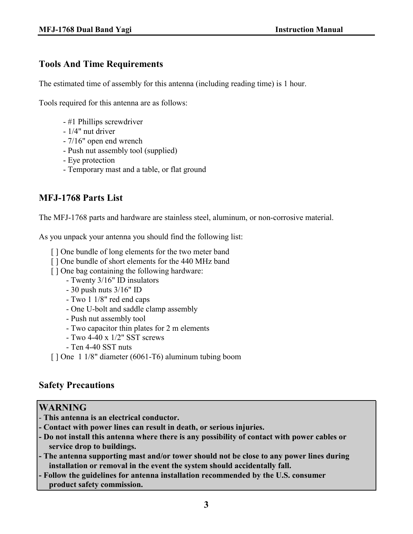## **Tools And Time Requirements**

The estimated time of assembly for this antenna (including reading time) is 1 hour.

Tools required for this antenna are as follows:

- #1 Phillips screwdriver
- 1/4" nut driver
- 7/16" open end wrench
- Push nut assembly tool (supplied)
- Eye protection
- Temporary mast and a table, or flat ground

## **MFJ-1768 Parts List**

The MFJ-1768 parts and hardware are stainless steel, aluminum, or non-corrosive material.

As you unpack your antenna you should find the following list:

- [] One bundle of long elements for the two meter band
- [] One bundle of short elements for the 440 MHz band
- [ ] One bag containing the following hardware:
	- Twenty 3/16" ID insulators
	- 30 push nuts 3/16" ID
	- Two 1 1/8" red end caps
	- One U-bolt and saddle clamp assembly
	- Push nut assembly tool
	- Two capacitor thin plates for 2 m elements
	- Two 4-40 x 1/2" SST screws
	- Ten 4-40 SST nuts
- [ ] One 1 1/8" diameter (6061-T6) aluminum tubing boom

## **Safety Precautions**

#### **WARNING**

- **This antenna is an electrical conductor.**
- **Contact with power lines can result in death, or serious injuries.**
- **Do not install this antenna where there is any possibility of contact with power cables or service drop to buildings.**
- **The antenna supporting mast and/or tower should not be close to any power lines during installation or removal in the event the system should accidentally fall.**
- **Follow the guidelines for antenna installation recommended by the U.S. consumer product safety commission.**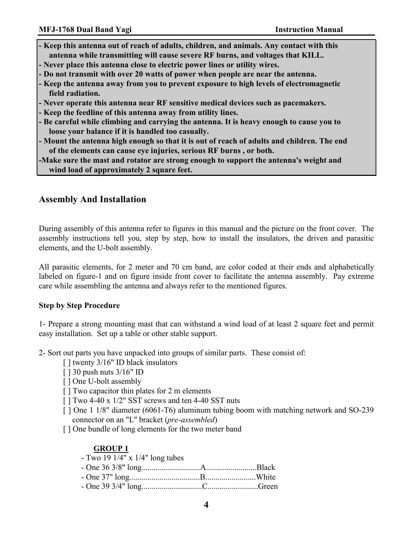- **Keep this antenna out of reach of adults, children, and animals. Any contact with this antenna while transmitting will cause severe RF burns, and voltages that KILL.**
- **Never place this antenna close to electric power lines or utility wires.**
- **Do not transmit with over 20 watts of power when people are near the antenna.**
- **Keep the antenna away from you to prevent exposure to high levels of electromagnetic field radiation.**
- **Never operate this antenna near RF sensitive medical devices such as pacemakers.**
- **Keep the feedline of this antenna away from utility lines.**
- **Be careful while climbing and carrying the antenna. It is heavy enough to cause you to loose your balance if it is handled too casually.**
- **Mount the antenna high enough so that it is out of reach of adults and children. The end of the elements can cause eye injuries, serious RF burns , or both.**

**-Make sure the mast and rotator are strong enough to support the antenna's weight and wind load of approximately 2 square feet.** 

#### **Assembly And Installation**

During assembly of this antenna refer to figures in this manual and the picture on the front cover. The assembly instructions tell you, step by step, how to install the insulators, the driven and parasitic elements, and the U-bolt assembly.

All parasitic elements, for 2 meter and 70 cm band, are color coded at their ends and alphabetically labeled on figure-1 and on figure inside front cover to facilitate the antenna assembly. Pay extreme care while assembling the antenna and always refer to the mentioned figures.

#### **Step by Step Procedure**

1- Prepare a strong mounting mast that can withstand a wind load of at least 2 square feet and permit easy installation. Set up a table or other stable support.

2- Sort out parts you have unpacked into groups of similar parts. These consist of:

- [] twenty 3/16" ID black insulators
- [ ] 30 push nuts 3/16" ID
- [ ] One U-bolt assembly
- [ ] Two capacitor thin plates for 2 m elements
- [ ] Two 4-40 x 1/2" SST screws and ten 4-40 SST nuts
- [ ] One 1 1/8" diameter (6061-T6) aluminum tubing boom with matching network and SO-239 connector on an "L" bracket (*pre-assembled*)
- [] One bundle of long elements for the two meter band

#### **GROUP 1**

| - Two 19 $1/4$ " x $1/4$ " long tubes |  |
|---------------------------------------|--|
|                                       |  |
|                                       |  |
|                                       |  |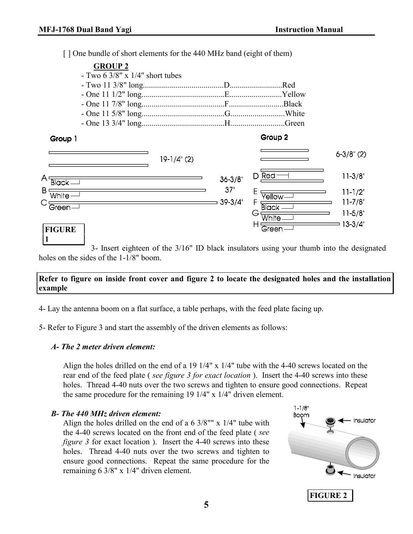[] One bundle of short elements for the 440 MHz band (eight of them)

| <b>GROUP 2</b><br>- Two 6 $3/8$ " x $1/4$ " short tubes                |              |                                   | .Red<br>.Yellow<br>Black<br>Green.                                           |                                                                                            |
|------------------------------------------------------------------------|--------------|-----------------------------------|------------------------------------------------------------------------------|--------------------------------------------------------------------------------------------|
| Group 1<br>A٠<br><b>Black-</b><br>B<br>White<br>Green<br><b>FIGURE</b> | $19-1/4$ (2) | $36 - 3/8$<br>37"<br>$39 - 3/4$ " | Group 2<br>D Red<br>Yellow<br>F<br><b>Black</b><br>G<br>White<br>H.<br>Green | $6 - 3/8$ " (2)<br>$11 - 3/8"$<br>$11 - 1/2"$<br>$11 - 7/8"$<br>$11 - 5/8"$<br>$13 - 3/4"$ |

3- Insert eighteen of the 3/16" ID black insulators using your thumb into the designated holes on the sides of the 1-1/8" boom.

#### **Refer to figure on inside front cover and figure 2 to locate the designated holes and the installation example**

- 4- Lay the antenna boom on a flat surface, a table perhaps, with the feed plate facing up.
- 5- Refer to Figure 3 and start the assembly of the driven elements as follows:

#### *A- The 2 meter driven element:*

Align the holes drilled on the end of a 19 1/4" x 1/4" tube with the 4-40 screws located on the rear end of the feed plate ( *see figure 3 for exact location* ). Insert the 4-40 screws into these holes. Thread 4-40 nuts over the two screws and tighten to ensure good connections. Repeat the same procedure for the remaining 19 1/4" x 1/4" driven element.

#### *B- The 440 MHz driven element:*

Align the holes drilled on the end of a  $6\frac{3}{8}$ " x  $1/4$ " tube with the 4-40 screws located on the front end of the feed plate ( *see figure 3* for exact location ). Insert the 4-40 screws into these holes. Thread 4-40 nuts over the two screws and tighten to ensure good connections. Repeat the same procedure for the remaining 6 3/8" x 1/4" driven element.

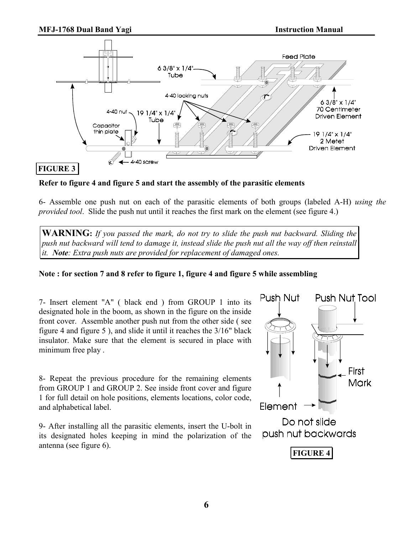

**Refer to figure 4 and figure 5 and start the assembly of the parasitic elements** 

6- Assemble one push nut on each of the parasitic elements of both groups (labeled A-H) *using the provided tool*. Slide the push nut until it reaches the first mark on the element (see figure 4.)

**WARNING:** *If you passed the mark, do not try to slide the push nut backward. Sliding the push nut backward will tend to damage it, instead slide the push nut all the way off then reinstall it. Note: Extra push nuts are provided for replacement of damaged ones.* 

#### **Note : for section 7 and 8 refer to figure 1, figure 4 and figure 5 while assembling**

7- Insert element "A" ( black end ) from GROUP 1 into its designated hole in the boom, as shown in the figure on the inside front cover. Assemble another push nut from the other side ( see figure 4 and figure 5 ), and slide it until it reaches the 3/16" black insulator. Make sure that the element is secured in place with minimum free play .

8- Repeat the previous procedure for the remaining elements from GROUP 1 and GROUP 2. See inside front cover and figure 1 for full detail on hole positions, elements locations, color code, and alphabetical label.

9- After installing all the parasitic elements, insert the U-bolt in its designated holes keeping in mind the polarization of the antenna (see figure 6).

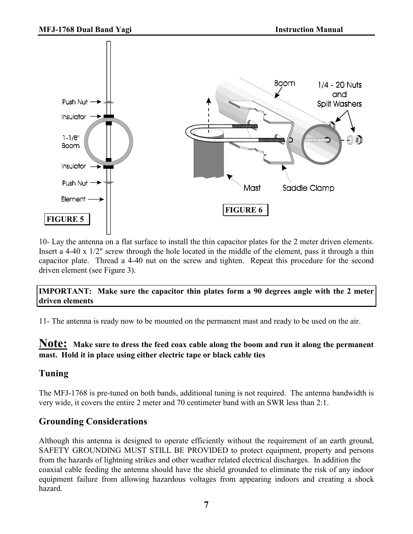

10- Lay the antenna on a flat surface to install the thin capacitor plates for the 2 meter driven elements. Insert a 4-40 x 1/2" screw through the hole located in the middle of the element, pass it through a thin capacitor plate. Thread a 4-40 nut on the screw and tighten. Repeat this procedure for the second driven element (see Figure 3).

#### **IMPORTANT: Make sure the capacitor thin plates form a 90 degrees angle with the 2 meter driven elements**

11- The antenna is ready now to be mounted on the permanent mast and ready to be used on the air.

### **Note: Make sure to dress the feed coax cable along the boom and run it along the permanent mast. Hold it in place using either electric tape or black cable ties**

## **Tuning**

The MFJ-1768 is pre-tuned on both bands, additional tuning is not required. The antenna bandwidth is very wide, it covers the entire 2 meter and 70 centimeter band with an SWR less than 2:1.

## **Grounding Considerations**

Although this antenna is designed to operate efficiently without the requirement of an earth ground, SAFETY GROUNDING MUST STILL BE PROVIDED to protect equipment, property and persons from the hazards of lightning strikes and other weather related electrical discharges. In addition the coaxial cable feeding the antenna should have the shield grounded to eliminate the risk of any indoor equipment failure from allowing hazardous voltages from appearing indoors and creating a shock hazard.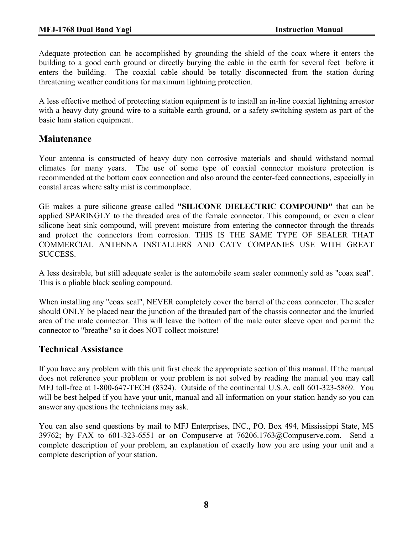Adequate protection can be accomplished by grounding the shield of the coax where it enters the building to a good earth ground or directly burying the cable in the earth for several feet before it enters the building. The coaxial cable should be totally disconnected from the station during threatening weather conditions for maximum lightning protection.

A less effective method of protecting station equipment is to install an in-line coaxial lightning arrestor with a heavy duty ground wire to a suitable earth ground, or a safety switching system as part of the basic ham station equipment.

## **Maintenance**

Your antenna is constructed of heavy duty non corrosive materials and should withstand normal climates for many years. The use of some type of coaxial connector moisture protection is recommended at the bottom coax connection and also around the center-feed connections, especially in coastal areas where salty mist is commonplace.

GE makes a pure silicone grease called **"SILICONE DIELECTRIC COMPOUND"** that can be applied SPARINGLY to the threaded area of the female connector. This compound, or even a clear silicone heat sink compound, will prevent moisture from entering the connector through the threads and protect the connectors from corrosion. THIS IS THE SAME TYPE OF SEALER THAT COMMERCIAL ANTENNA INSTALLERS AND CATV COMPANIES USE WITH GREAT SUCCESS.

A less desirable, but still adequate sealer is the automobile seam sealer commonly sold as "coax seal". This is a pliable black sealing compound.

When installing any "coax seal", NEVER completely cover the barrel of the coax connector. The sealer should ONLY be placed near the junction of the threaded part of the chassis connector and the knurled area of the male connector. This will leave the bottom of the male outer sleeve open and permit the connector to "breathe" so it does NOT collect moisture!

## **Technical Assistance**

If you have any problem with this unit first check the appropriate section of this manual. If the manual does not reference your problem or your problem is not solved by reading the manual you may call MFJ toll-free at 1-800-647-TECH (8324). Outside of the continental U.S.A. call 601-323-5869. You will be best helped if you have your unit, manual and all information on your station handy so you can answer any questions the technicians may ask.

You can also send questions by mail to MFJ Enterprises, INC., PO. Box 494, Mississippi State, MS 39762; by FAX to 601-323-6551 or on Compuserve at 76206.1763@Compuserve.com. Send a complete description of your problem, an explanation of exactly how you are using your unit and a complete description of your station.